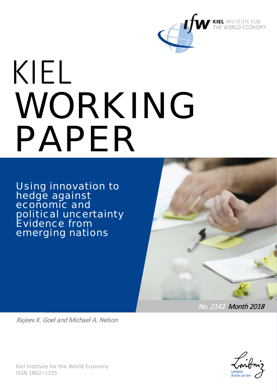

# KIEL WORKING PAPER

Using innovation to hedge against economic and political uncertainty Evidence from emerging nations



No. 2142 Month 2018

Rajeev K. Goel and Michael A. Nelson

Kiel Institute for the World Economy ISSN 1862–1155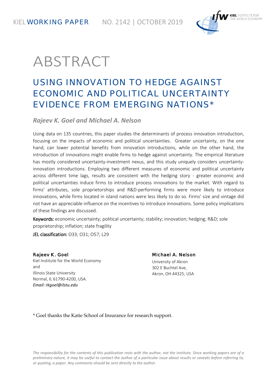KIEL **WORKING PAPER** NO. 2142 | OCTOBER 2019



## ABSTRACT

## USING INNOVATION TO HEDGE AGAINST ECONOMIC AND POLITICAL UNCERTAINTY EVIDENCE FROM EMERGING NATIONS\*

*Rajeev K. Goel and Michael A. Nelson*

Using data on 135 countries, this paper studies the determinants of process innovation introduction, focusing on the impacts of economic and political uncertainties. Greater uncertainty, on the one hand, can lower potential benefits from innovation introductions, while on the other hand, the introduction of innovations might enable firms to hedge against uncertainty. The empirical literature has mostly considered uncertainty-investment nexus, and this study uniquely considers uncertaintyinnovation introductions. Employing two different measures of economic and political uncertainty across different time lags, results are consistent with the hedging story - greater economic and political uncertainties induce firms to introduce process innovations to the market. With regard to firms' attributes, sole proprietorships and R&D-performing firms were more likely to introduce innovations, while firms located in island nations were less likely to do so. Firms' size and vintage did not have an appreciable influence on the incentives to introduce innovations. Some policy implications of these findings are discussed.

Keywords: economic uncertainty; political uncertainty; stability; innovation; hedging; R&D; sole proprietorship; inflation; state fragility

JEL classification: O33; O31; O57; L29

#### Rajeev K. Goel

Kiel Institute for the World Economy and Illinois State University Normal, IL 61790-4200, USA. *Email: rkgoel@ilstu.edu*

#### Michael A. Nelson University of Akron 302 E Buchtel Ave,

Akron, OH 44325, USA

\* Goel thanks the Katie School of Insurance for research support.

*The responsibility for the contents of this publication rests with the author, not the Institute. Since working papers are of a preliminary nature, it may be useful to contact the author of a particular issue about results or caveats before referring to, or quoting, a paper. Any comments should be sent directly to the author.*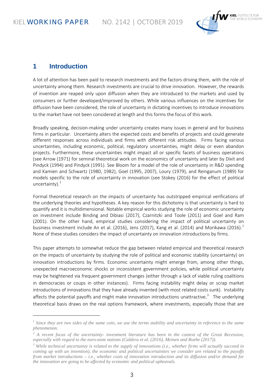-



#### **1 Introduction**

A lot of attention has been paid to research investments and the factors driving them, with the role of uncertainty among them. Research investments are crucial to drive innovation. However, the rewards of invention are reaped only upon diffusion when they are introduced to the markets and used by consumers or further developed/improved by others. While various influences on the incentives for diffusion have been considered, the role of uncertainty in dictating incentives to introduce innovations to the market have not been considered at length and this forms the focus of this work.

Broadly speaking, decision-making under uncertainty creates many issues in general and for business firms in particular. Uncertainty alters the expected costs and benefits of projects and could generate different responses across individuals and firms with different risk attitudes. Firms facing various uncertainties, including economic, political, regulatory uncertainties, might delay or even abandon projects. Furthermore, these uncertainties might impact all or specific facets of business operations (see Arrow (1971) for seminal theoretical work on the economics of uncertainty and later by Dixit and Pindyck (1994) and Pindyck (1991). See Bloom for a model of the role of uncertainty in R&D spending and Kamien and Schwartz (1980, 1982), Goel (1995, 2007), Loury (1979), and Reinganum (1989) for models specific to the role of uncertainty in innovation (see Stokey (2016) for the effect of political uncertainty). $1$ 

Formal theoretical research on the impacts of uncertainty has outstripped empirical verifications of the underlying theories and hypotheses. A key reason for this dichotomy is that uncertainty is hard to quantify and it is multidimensional. Notable empirical works studying the role of economic uncertainty on investment include Binding and Dibiasi (2017), Czarnitzki and Toole (2011) and Goel and Ram (2001). On the other hand, empirical studies considering the impact of political uncertainty on business investment include An et al. ([2](#page-2-1)016), Jens (2017), Kang et al. (2014) and Morikawa (2016).<sup>2</sup> None of these studies considers the impact of uncertainty on innovation introductions by firms.

This paper attempts to somewhat reduce the gap between related empirical and theoretical research on the impacts of uncertainty by studying the role of political and economic stability (uncertainty) on innovation introductions by firms. Economic uncertainty might emerge from, among other things, unexpected macroeconomic shocks or inconsistent government policies, while political uncertainty may be heightened via frequent government changes (either through a lack of viable ruling coalitions in democracies or coups in other instances). Firms facing instability might delay or scrap market introductions of innovations that they have already invented (with most related costs sunk). Instability affects the potential payoffs and might make innovation introductions unattractive.<sup>[3](#page-2-2)</sup> The underlying theoretical basis draws on the real options framework, where investments, especially those that are

<span id="page-2-0"></span>*<sup>1</sup> Since they are two sides of the same coin, we use the terms stability and uncertainty in reference to the same phenomenon.*

<span id="page-2-1"></span>*<sup>2</sup> A recent focus of the uncertainty- investment literature has been in the context of the Great Recession, especially with regard to the euro-zone nations (Caldera et al. (2016), Meinen and Roehe (2017)).*

<span id="page-2-2"></span>*<sup>3</sup> While technical uncertainty is related to the supply of innovations (i.e., whether firms will actually succeed in coming up with an invention), the economic and political uncertainties we consider are related to the payoffs from market introductions – i.e., whether costs of innovation introduction and its diffusion and/or demand for the innovation are going to be affected by economic and political upheavals.*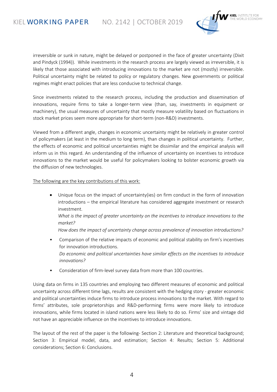

irreversible or sunk in nature, might be delayed or postponed in the face of greater uncertainty (Dixit and Pindyck (1994)). While investments in the research process are largely viewed as irreversible, it is likely that those associated with introducing innovations to the market are not (mostly) irreversible. Political uncertainty might be related to policy or regulatory changes. New governments or political regimes might enact policies that are less conducive to technical change.

Since investments related to the research process, including the production and dissemination of innovations, require firms to take a longer-term view (than, say, investments in equipment or machinery), the usual measures of uncertainty that mostly measure volatility based on fluctuations in stock market prices seem more appropriate for short-term (non-R&D) investments.

Viewed from a different angle, changes in economic uncertainty might be relatively in greater control of policymakers (at least in the medium to long term), than changes in political uncertainty. Further, the effects of economic and political uncertainties might be dissimilar and the empirical analysis will inform us in this regard. An understanding of the influence of uncertainty on incentives to introduce innovations to the market would be useful for policymakers looking to bolster economic growth via the diffusion of new technologies.

#### The following are the key contributions of this work:

• Unique focus on the impact of uncertainty(ies) on firm conduct in the form of innovation introductions – the empirical literature has considered aggregate investment or research investment. *What is the impact of greater uncertainty on the incentives to introduce innovations to the* 

*market?*

*How does the impact of uncertainty change across prevalence of innovation introductions?*

- Comparison of the relative impacts of economic and political stability on firm's incentives for innovation introductions. *Do economic and political uncertainties have similar effects on the incentives to introduce innovations?*
- Consideration of firm-level survey data from more than 100 countries.

Using data on firms in 135 countries and employing two different measures of economic and political uncertainty across different time lags, results are consistent with the hedging story - greater economic and political uncertainties induce firms to introduce process innovations to the market. With regard to firms' attributes, sole proprietorships and R&D-performing firms were more likely to introduce innovations, while firms located in island nations were less likely to do so. Firms' size and vintage did not have an appreciable influence on the incentives to introduce innovations.

The layout of the rest of the paper is the following- Section 2: Literature and theoretical background; Section 3: Empirical model, data, and estimation; Section 4: Results; Section 5: Additional considerations; Section 6: Conclusions.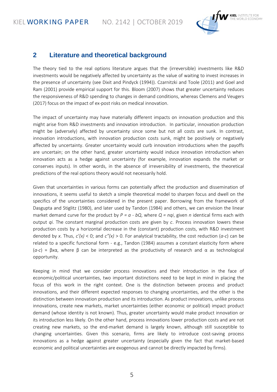

#### **2 Literature and theoretical background**

The theory tied to the real options literature argues that the (irreversible) investments like R&D investments would be negatively affected by uncertainty as the value of waiting to invest increases in the presence of uncertainty (see Dixit and Pindyck (1994)). Czarnitzki and Toole (2011) and Goel and Ram (2001) provide empirical support for this. Bloom (2007) shows that greater uncertainty reduces the responsiveness of R&D spending to changes in demand conditions, whereas Clemens and Veugers (2017) focus on the impact of ex-post risks on medical innovation.

The impact of uncertainty may have materially different impacts on innovation production and this might arise from R&D investments and innovation introduction. In particular, innovation production might be (adversely) affected by uncertainty since some but not all costs are sunk. In contrast, innovation introductions, with innovation production costs sunk, might be positively or negatively affected by uncertainty. Greater uncertainty would curb innovation introductions when the payoffs are uncertain; on the other hand, greater uncertainty would induce innovation introduction when innovation acts as a hedge against uncertainty (for example, innovation expands the market or conserves inputs). In other words, in the absence of irreversibility of investments, the theoretical predictions of the real options theory would not necessarily hold.

Given that uncertainties in various forms can potentially affect the production and dissemination of innovations, it seems useful to sketch a simple theoretical model to sharpen focus and dwell on the specifics of the uncertainties considered in the present paper. Borrowing from the framework of Dasgupta and Stiglitz (1980), and later used by Tandon (1984) and others, we can envision the linear market demand curve for the product by *P = a - bQ*, where *Q = nqi*, given *n* identical firms each with output *qi*. The constant marginal production costs are given by *c*. Process innovation lowers these production costs by a horizontal decrease in the (constant) production costs, with R&D investment denoted by *x*. Thus, *c'(x)* < 0; and *c"(x)* > 0. For analytical tractability, the cost reduction (*a-c*) can be related to a specific functional form - e.g., Tandon (1984) assumes a constant elasticity form where (*a-c*) = βxα, where β can be interpreted as the productivity of research and α as technological opportunity.

Keeping in mind that we consider process innovations and their introduction in the face of economic/political uncertainties, two important distinctions need to be kept in mind in placing the focus of this work in the right context. One is the distinction between process and product innovations, and their different expected responses to changing uncertainties, and the other is the distinction between innovation production and its introduction. As product innovations, unlike process innovations, create new markets, market uncertainties (either economic or political) impact product demand (whose identity is not known). Thus, greater uncertainty would make product innovation or its introduction less likely. On the other hand, process innovations lower production costs and are not creating new markets, so the end-market demand is largely known, although still susceptible to changing uncertainties. Given this scenario, firms are likely to introduce cost-saving process innovations as a hedge against greater uncertainty (especially given the fact that market-based economic and political uncertainties are exogenous and cannot be directly impacted by firms).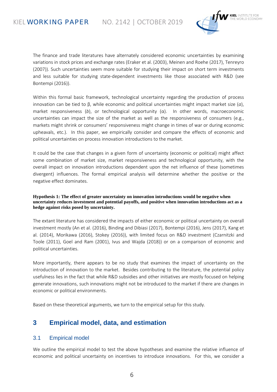

The finance and trade literatures have alternately considered economic uncertainties by examining variations in stock prices and exchange rates (Eraker et al. (2003), Meinen and Roehe (2017), Tenreyro (2007)). Such uncertainties seem more suitable for studying their impact on short term investments and less suitable for studying state-dependent investments like those associated with R&D (see Bontempi (2016)).

Within this formal basic framework, technological uncertainty regarding the production of process innovation can be tied to β, while economic and political uncertainties might impact market size (*a*), market responsiveness (*b*), or technological opportunity (α). In other words, macroeconomic uncertainties can impact the size of the market as well as the responsiveness of consumers (e.g., markets might shrink or consumers' responsiveness might change in times of war or during economic upheavals, etc.). In this paper, we empirically consider and compare the effects of economic and political uncertainties on process innovation introductions to the market.

It could be the case that changes in a given form of uncertainty (economic or political) might affect some combination of market size, market responsiveness and technological opportunity, with the overall impact on innovation introductions dependent upon the net influence of these (sometimes divergent) influences. The formal empirical analysis will determine whether the positive or the negative effect dominates.

#### **Hypothesis 1: The effect of greater uncertainty on innovation introductions would be negative when uncertainty reduces investment and potential payoffs, and positive when innovation introductions act as a hedge against risks posed by uncertainty.**

The extant literature has considered the impacts of either economic or political uncertainty on overall investment mostly (An et al. (2016), Binding and Dibiasi (2017), Bontempi (2016), Jens (2017), Kang et al. (2014), Morikawa (2016), Stokey (2016)), with limited focus on R&D investment (Czarnitzki and Toole (2011), Goel and Ram (2001), Ivus and Wajda (2018)) or on a comparison of economic and political uncertainties.

More importantly, there appears to be no study that examines the impact of uncertainty on the introduction of innovation to the market. Besides contributing to the literature, the potential policy usefulness lies in the fact that while R&D subsidies and other initiatives are mostly focused on helping generate innovations, such innovations might not be introduced to the market if there are changes in economic or political environments.

Based on these theoretical arguments, we turn to the empirical setup for this study.

### **3 Empirical model, data, and estimation**

#### 3.1 Empirical model

We outline the empirical model to test the above hypotheses and examine the relative influence of economic and political uncertainty on incentives to introduce innovations. For this, we consider a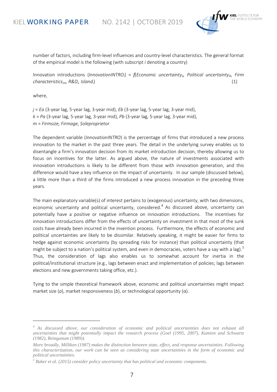

number of factors, including firm-level influences and country-level characteristics. The general format of the empirical model is the following (with subscript *i* denoting a country)

Innovation introductions (*InnovationINTROi*) = *f*(*Economic uncertaintyij, Political uncertaintyik, Firm characteristicsim, R&Di , Islandi*  $\hspace{0.1cm}$ ) (1)

where,

-

*j* = *Ea* (3-year lag, 5-year lag, 3-year mid), *Eb* (3-year lag, 5-year lag, 3-year mid), *k* = *Pa* (3-year lag, 5-year lag, 3-year mid), *Pb* (3-year lag, 5-year lag, 3-year mid), *m* = *Firmsize, Firmage, Soleproprietor*

The dependent variable (*InnovationINTRO*) is the percentage of firms that introduced a new process innovation to the market in the past three years. The detail in the underlying survey enables us to disentangle a firm's innovation decision from its market introduction decision, thereby allowing us to focus on incentives for the latter. As argued above, the nature of investments associated with innovation introductions is likely to be different from those with innovation generation, and this difference would have a key influence on the impact of uncertainty. In our sample (discussed below), a little more than a third of the firms introduced a new process innovation in the preceding three years.

The main explanatory variable(s) of interest pertains to (exogenous) uncertainty, with two dimensions, economic uncertainty and political uncertainty, considered.<sup>[4](#page-6-0)</sup> As discussed above, uncertainty can potentially have a positive or negative influence on innovation introductions. The incentives for innovation introductions differ from the effects of uncertainty on investment in that most of the sunk costs have already been incurred in the invention process. Furthermore, the effects of economic and political uncertainties are likely to be dissimilar. Relatively speaking, it might be easier for firms to hedge against economic uncertainty (by spreading risks for instance) than political uncertainty (that might be subject to a nation's political system, and even in democracies, voters have a say with a lag).<sup>[5](#page-6-1)</sup> Thus, the consideration of lags also enables us to somewhat account for inertia in the political/institutional structure (e.g., lags between enact and implementation of policies; lags between elections and new governments taking office, etc.).

Tying to the simple theoretical framework above, economic and political uncertainties might impact market size (*a*), market responsiveness (*b*), or technological opportunity (α).

<span id="page-6-0"></span>*<sup>4</sup> As discussed above, our consideration of economic and political uncertainties does not exhaust all uncertainties that might potentially impact the research process (Goel (1995, 2007), Kamien and Schwartz (1982), Reinganum (1989)).*

*More broadly, Milliken (1987) makes the distinction between state, effect, and response uncertainties. Following this characterization, our work can be seen as considering state uncertainties in the form of economic and political uncertainties.*

<span id="page-6-1"></span>*<sup>5</sup> Baker et al. (2015) consider policy uncertainty that has political and economic components.*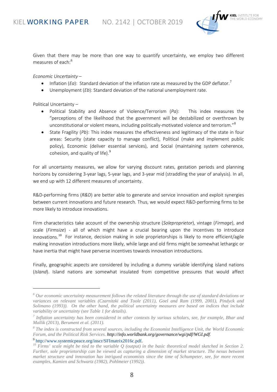

Given that there may be more than one way to quantify uncertainty, we employ two different measures of each:<sup>[6](#page-7-0)</sup>

*Economic Uncertainty –*

- Inflation (*Ea*): Standard deviation of the inflation rate as measured by the GDP deflator.<sup>[7](#page-7-1)</sup>
- Unemployment (*Eb*): Standard deviation of the national unemployment rate.

Political Uncertainty –

-

- Political Stability and Absence of Violence/Terrorism (*Pa*): This index measures the "perceptions of the likelihood that the government will be destabilized or overthrown by unconstitutional or violent means, including politically-motivated violence and terrorism."<sup>[8](#page-7-2)</sup>
- State Fragility (*Pb*): This index measures the effectiveness and legitimacy of the state in four areas: Security (state capacity to manage conflict), Political (make and implement public policy), Economic (deliver essential services), and Social (maintaining system coherence, cohesion, and quality of life).<sup>[9](#page-7-3)</sup>

For all uncertainty measures, we allow for varying discount rates, gestation periods and planning horizons by considering 3-year lags, 5-year lags, and 3-year mid (straddling the year of analysis). In all, we end up with 12 different measures of uncertainty.

R&D-performing firms (*R&D*) are better able to generate and service innovation and exploit synergies between current innovations and future research. Thus, we would expect R&D-performing firms to be more likely to introduce innovations.

Firm characteristics take account of the ownership structure (*Soleproprietor*), vintage (*Firmage*), and scale (*Firmsize*) - all of which might have a crucial bearing upon the incentives to introduce innovations.<sup>[10](#page-7-4)</sup> For instance, decision making in sole proprietorships is likely to more efficient/agile making innovation introductions more likely, while large and old firms might be somewhat lethargic or have inertia that might have perverse incentives towards innovation introductions.

Finally, geographic aspects are considered by including a dummy variable identifying island nations (*Island*). Island nations are somewhat insulated from competitive pressures that would affect

<span id="page-7-0"></span>*<sup>6</sup> Our economic uncertainty measurement follows the related literature through the use of standard deviations or variances on relevant variables (Czarnitzki and Toole (2011), Goel and Ram (1999, 2001), Pindyck and Solimano (1993)). On the other hand, the political uncertainty measures are based on indices that include variability or uncertainty (see Table 1 for details).*

<span id="page-7-1"></span>*<sup>7</sup> Inflation uncertainty has been considered in other contexts by various scholars, see, for example, Bhar and Mallik (2013), Berument et al. (2011).*

<span id="page-7-2"></span>*<sup>8</sup> The index is constructed from several sources, including the Economist Intelligence Unit, the World Economic Forum, and the Political Risk Services. [http://info.worldbank.org/governance/wgi/pdf/WGI.pdf.](http://info.worldbank.org/governance/wgi/pdf/WGI.pdf)*

<span id="page-7-4"></span><span id="page-7-3"></span><sup>9</sup> [http://www.systemicpeace.org/inscr/SFImatrix2016c.pdf.](http://www.systemicpeace.org/inscr/SFImatrix2016c.pdf) *<sup>10</sup> Firms' scale might be tied to the variable Q (output) in the basic theoretical model sketched in Section 2. Further, sole proprietorship can be viewed as capturing a dimension of market structure. The nexus between market structure and innovation has intrigued economists since the time of Schumpeter, see, for more recent examples, Kamien and Schwartz (1982), Pohlmeier (1992)).*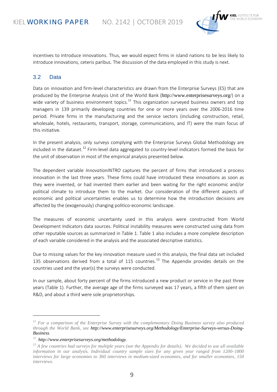

incentives to introduce innovations. Thus, we would expect firms in island nations to be less likely to introduce innovations, ceteris paribus. The discussion of the data employed in this study is next.

#### 3.2 Data

Data on innovation and firm-level characteristics are drawn from the Enterprise Surveys (ES) that are produced by the Enterprise Analysis Unit of the World Bank (<http://www.enterprisesurveys.org/>) on a wide variety of business environment topics.<sup>[11](#page-8-0)</sup> This organization surveyed business owners and top managers in 139 primarily developing countries for one or more years over the 2006-2016 time period. Private firms in the manufacturing and the service sectors (including construction, retail, wholesale, hotels, restaurants, transport, storage, communications, and IT) were the main focus of this initiative.

In the present analysis, only surveys complying with the Enterprise Surveys Global Methodology are included in the dataset.<sup>[12](#page-8-1)</sup> Firm-level data aggregated to country-level indicators formed the basis for the unit of observation in most of the empirical analysis presented below.

The dependent variable *InnovationINTRO* captures the percent of firms that introduced a process innovation in the last three years. These firms could have introduced these innovations as soon as they were invented, or had invented them earlier and been waiting for the right economic and/or political climate to introduce them to the market. Our consideration of the different aspects of economic and political uncertainties enables us to determine how the introduction decisions are affected by the (exogenously) changing politico-economic landscape.

The measures of economic uncertainty used in this analysis were constructed from World Development Indicators data sources. Political instability measures were constructed using data from other reputable sources as summarized in Table 1. Table 1 also includes a more complete description of each variable considered in the analysis and the associated descriptive statistics.

Due to missing values for the key innovation measure used in this analysis, the final data set included [13](#page-8-2)5 observations derived from a total of 115 countries.<sup>13</sup> The Appendix provides details on the countries used and the year(s) the surveys were conducted.

In our sample, about forty percent of the firms introduced a new product or service in the past three years (Table 1). Further, the average age of the firms surveyed was 17 years, a fifth of them spent on R&D, and about a third were sole proprietorships.

-

<span id="page-8-0"></span>*<sup>11</sup> For a comparison of the Enterprise Survey with the complementary Doing Business survey also produced through the World Bank, see [http://www.enterprisesurveys.org/Methodology/Enterprise-Surveys-versus-Doing-](http://www.enterprisesurveys.org/Methodology/Enterprise-Surveys-versus-Doing-Business)[Business.](http://www.enterprisesurveys.org/Methodology/Enterprise-Surveys-versus-Doing-Business)*

<span id="page-8-1"></span>*<sup>12</sup> [http://www.enterprisesurveys.org/methodology.](http://www.enterprisesurveys.org/methodology)*

<span id="page-8-2"></span>*<sup>13</sup> A few countries had surveys for multiple years (see the Appendix for details). We decided to use all available information in our analysis. Individual country sample sizes for any given year ranged from 1200–1800 interviews for large economies to 360 interviews in medium-sized economies, and for smaller economies, 150 interviews.*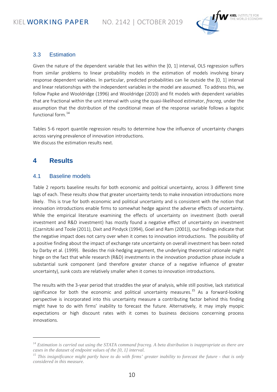

#### 3.3 Estimation

Given the nature of the dependent variable that lies within the [0, 1] interval, OLS regression suffers from similar problems to linear probability models in the estimation of models involving binary response dependent variables. In particular, predicted probabilities can lie outside the [0, 1] interval and linear relationships with the independent variables in the model are assumed. To address this, we follow Papke and Wooldridge (1996) and Wooldridge (2010) and fit models with dependent variables that are fractional within the unit interval with using the quasi-likelihood estimator, *fracreg*, under the assumption that the distribution of the conditional mean of the response variable follows a logistic functional form.<sup>[14](#page-9-0)</sup>

Tables 5-6 report quantile regression results to determine how the influence of uncertainty changes across varying prevalence of innovation introductions. We discuss the estimation results next.

#### **4 Results**

-

#### 4.1 Baseline models

Table 2 reports baseline results for both economic and political uncertainty, across 3 different time lags of each. These results show that greater uncertainty tends to make innovation introductions more likely. This is true for both economic and political uncertainty and is consistent with the notion that innovation introductions enable firms to somewhat hedge against the adverse effects of uncertainty. While the empirical literature examining the effects of uncertainty on investment (both overall investment and R&D investment) has mostly found a negative effect of uncertainty on investment (Czarnitzki and Toole (2011), Dixit and Pindyck (1994), Goel and Ram (2001)), our findings indicate that the negative impact does not carry over when it comes to innovation introductions. The possibility of a positive finding about the impact of exchange rate uncertainty on overall investment has been noted by Darby et al. (1999). Besides the risk-hedging argument, the underlying theoretical rationale might hinge on the fact that while research (R&D) investments in the innovation production phase include a substantial sunk component (and therefore greater chance of a negative influence of greater uncertainty), sunk costs are relatively smaller when it comes to innovation introductions.

The results with the 3-year period that straddles the year of analysis, while still positive, lack statistical significance for both the economic and political uncertainty measures.<sup>[15](#page-9-1)</sup> As a forward-looking perspective is incorporated into this uncertainty measure a contributing factor behind this finding might have to do with firms' inability to forecast the future. Alternatively, it may imply myopic expectations or high discount rates with it comes to business decisions concerning process innovations.

<span id="page-9-0"></span>*<sup>14</sup> Estimation is carried out using the STATA command fracreg. A beta distribution is inappropriate as there are cases in the dataset of endpoint values of the [0, 1] interval.*

<span id="page-9-1"></span>*<sup>15</sup> This insignificance might partly have to do with firms' greater inability to forecast the future - that is only considered in this measure.*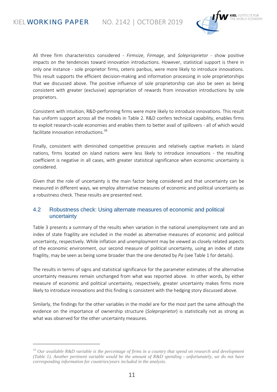-



All three firm characteristics considered - *Firmsize*, *Firmage*, and *Soleprioprietor* - show positive impacts on the tendencies toward innovation introductions. However, statistical support is there in only one instance - sole proprietor firms, ceteris paribus, were more likely to introduce innovations. This result supports the efficient decision-making and information processing in sole proprietorships that we discussed above. The positive influence of sole proprietorship can also be seen as being consistent with greater (exclusive) appropriation of rewards from innovation introductions by sole proprietors.

Consistent with intuition, R&D-performing firms were more likely to introduce innovations. This result has uniform support across all the models in Table 2. R&D confers technical capability, enables firms to exploit research-scale economies and enables them to better avail of spillovers - all of which would facilitate innovation introductions.<sup>[16](#page-10-0)</sup>

Finally, consistent with diminished competitive pressures and relatively captive markets in island nations, firms located on island nations were less likely to introduce innovations - the resulting coefficient is negative in all cases, with greater statistical significance when economic uncertainty is considered.

Given that the role of uncertainty is the main factor being considered and that uncertainty can be measured in different ways, we employ alternative measures of economic and political uncertainty as a robustness check. These results are presented next.

#### 4.2 Robustness check: Using alternate measures of economic and political uncertainty

Table 3 presents a summary of the results when variation in the national unemployment rate and an index of state fragility are included in the model as alternative measures of economic and political uncertainty, respectively. While inflation and unemployment may be viewed as closely related aspects of the economic environment, our second measure of political uncertainty, using an index of state fragility, may be seen as being some broader than the one denoted by *Pa* (see Table 1 for details).

The results in terms of signs and statistical significance for the parameter estimates of the alternative uncertainty measures remain unchanged from what was reported above. In other words, by either measure of economic and political uncertainty, respectively, greater uncertainty makes firms more likely to introduce innovations and this finding is consistent with the hedging story discussed above.

Similarly, the findings for the other variables in the model are for the most part the same although the evidence on the importance of ownership structure (*Soleproprietor*) is statistically not as strong as what was observed for the other uncertainty measures.

<span id="page-10-0"></span>*<sup>16</sup> Our available R&D variable is the percentage of firms in a country that spend on research and development (Table 1). Another pertinent variable would be the amount of R&D spending - unfortunately, we do not have corresponding information for countries/years included in the analysis.*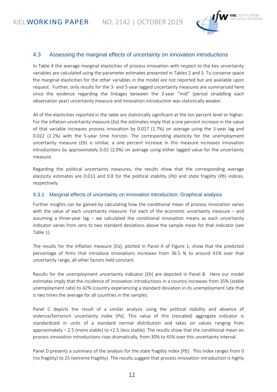

#### 4.3 Assessing the marginal effects of uncertainty on innovation introductions

In Table 4 the average marginal elasticities of process innovation with respect to the key uncertainty variables are calculated using the parameter estimates presented in Tables 2 and 3. To conserve space the marginal elasticities for the other variables in the model are not reported but are available upon request. Further, only results for the 3- and 5-year lagged uncertainty measures are summarized here since the evidence regarding the linkages between the 3-year "mid" (period straddling each observation year) uncertainty measure and innovation introduction was statistically weaker.

All of the elasticities reported in the table are statistically significant at the ten percent level or higher. For the inflation uncertainty measure (*Ea*) the estimates imply that a one percent increase in the value of that variable increases process innovation by 0.017 (1.7%) on average using the 3-year lag and 0.022 (2.2%) with the 5-year time horizon. The corresponding elasticity for the unemployment uncertainty measure (*Eb*) is similar, a one percent increase in this measure increases innovation introductions by approximately 0.02 (2.0%) on average using either lagged value for the uncertainty measure.

Regarding the political uncertainty measures, the results show that the corresponding average elasticity estimates are 0.013 and 0.8 for the political stability (*Pa*) and state fragility (*Pb*) indices, respectively.

#### 4.3.1 Marginal effects of uncertainty on innovation introduction: Graphical analysis

Further insights can be gained by calculating how the conditional mean of process innovation varies with the value of each uncertainty measure. For each of the economic uncertainty measure – and assuming a three-year lag – we calculated the conditional innovation means as each uncertainty indicator varies from zero to two standard deviations above the sample mean for that indicator (see Table 1).

The results for the inflation measure [*Ea*], plotted in Panel A of Figure 1, show that the predicted percentage of firms that introduce innovations increases from 36.5 % to around 41% over that uncertainty range, all other factors held constant.

Results for the unemployment uncertainty indicator [*Eb*] are depicted in Panel B. Here our model estimates imply that the incidence of innovation introductions in a country increases from 35% (stable unemployment rate) to 42% (country experiencing a standard deviation in its unemployment rate that is two times the average for all countries in the sample).

Panel C depicts the result of a similar analysis using the political stability and absence of violence/terrorism uncertainty index [*Pa*]. This value of this (rescaled) aggregate indicator is standardized in units of a standard normal distribution and takes on values ranging from approximately  $-2.5$  (more stable) to  $+2.5$  (less stable). The results show that the conditional mean on process innovation introductions rises dramatically, from 30% to 45% over this uncertainty interval.

Panel D presents a summary of the analysis for the state fragility index [*Pb*]. This index ranges from 0 (no fragility) to 25 (extreme fragility). The results suggest that process innovation introduction is highly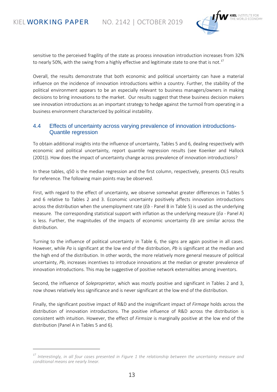-



sensitive to the perceived fragility of the state as process innovation introduction increases from 32% to nearly 50%, with the swing from a highly effective and legitimate state to one that is not.<sup>[17](#page-12-0)</sup>

Overall, the results demonstrate that both economic and political uncertainty can have a material influence on the incidence of innovation introductions within a country. Further, the stability of the political environment appears to be an especially relevant to business managers/owners in making decisions to bring innovations to the market. Our results suggest that these business decision makers see innovation introductions as an important strategy to hedge against the turmoil from operating in a business environment characterized by political instability.

#### 4.4 Effects of uncertainty across varying prevalence of innovation introductions-Quantile regression

To obtain additional insights into the influence of uncertainty, Tables 5 and 6, dealing respectively with economic and political uncertainty, report quantile regression results (see Koenker and Hallock (2001)). How does the impact of uncertainty change across prevalence of innovation introductions?

In these tables, q50 is the median regression and the first column, respectively, presents OLS results for reference. The following main points may be observed.

First, with regard to the effect of uncertainty, we observe somewhat greater differences in Tables 5 and 6 relative to Tables 2 and 3. Economic uncertainty positively affects innovation introductions across the distribution when the unemployment rate (*Eb* - Panel B in Table 5) is used as the underlying measure. The corresponding statistical support with inflation as the underlying measure (*Ea* - Panel A) is less. Further, the magnitudes of the impacts of economic uncertainty *Eb* are similar across the distribution.

Turning to the influence of political uncertainty in Table 6, the signs are again positive in all cases. However, while *Pa* is significant at the low end of the distribution, *Pb* is significant at the median and the high end of the distribution. In other words, the more relatively more general measure of political uncertainty, *Pb*, increases incentives to introduce innovations at the median or greater prevalence of innovation introductions. This may be suggestive of positive network externalities among inventors.

Second, the influence of *Soleproprietor*, which was mostly positive and significant in Tables 2 and 3, now shows relatively less significance and is never significant at the low end of the distribution.

Finally, the significant positive impact of R&D and the insignificant impact of *Firmage* holds across the distribution of innovation introductions. The positive influence of R&D across the distribution is consistent with intuition. However, the effect of *Firmsize* is marginally positive at the low end of the distribution (Panel A in Tables 5 and 6).

<span id="page-12-0"></span>*<sup>17</sup> Interestingly, in all four cases presented in Figure 1 the relationship between the uncertainty measure and conditional means are nearly linear.*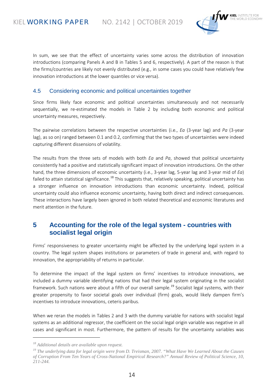

In sum, we see that the effect of uncertainty varies some across the distribution of innovation introductions (comparing Panels A and B in Tables 5 and 6, respectively). A part of the reason is that the firms/countries are likely not evenly distributed (e.g., in some cases you could have relatively few innovation introductions at the lower quantiles or vice versa).

#### 4.5 Considering economic and political uncertainties together

Since firms likely face economic and political uncertainties simultaneously and not necessarily sequentially, we re-estimated the models in Table 2 by including both economic and political uncertainty measures, respectively.

The pairwise correlations between the respective uncertainties (i.e., *Ea* (3-year lag) and *Pa* (3-year lag), as so on) ranged between 0.1 and 0.2, confirming that the two types of uncertainties were indeed capturing different dissensions of volatility.

The results from the three sets of models with both *Ea* and *Pa*, showed that political uncertainty consistently had a positive and statistically significant impact of innovation introductions. On the other hand, the three dimensions of economic uncertainty (i.e., 3-year lag, 5-year lag and 3-year mid of *Ea*) failed to attain statistical significance.<sup>[18](#page-13-0)</sup> This suggests that, relatively speaking, political uncertainty has a stronger influence on innovation introductions than economic uncertainty. Indeed, political uncertainty could also influence economic uncertainty, having both direct and indirect consequences. These interactions have largely been ignored in both related theoretical and economic literatures and merit attention in the future.

### **5 Accounting for the role of the legal system - countries with socialist legal origin**

Firms' responsiveness to greater uncertainty might be affected by the underlying legal system in a country. The legal system shapes institutions or parameters of trade in general and, with regard to innovation, the appropriability of returns in particular.

To determine the impact of the legal system on firms' incentives to introduce innovations, we included a dummy variable identifying nations that had their legal system originating in the socialist framework. Such nations were about a fifth of our overall sample.<sup>[19](#page-13-1)</sup> Socialist legal systems, with their greater propensity to favor societal goals over individual (firm) goals, would likely dampen firm's incentives to introduce innovations, ceteris paribus.

When we reran the models in Tables 2 and 3 with the dummy variable for nations with socialist legal systems as an additional regressor, the coefficient on the social legal origin variable was negative in all cases and significant in most. Furthermore, the pattern of results for the uncertainty variables was

-

<span id="page-13-0"></span>*<sup>18</sup> Additional details are available upon request.*

<span id="page-13-1"></span>*<sup>19</sup> The underlying data for legal origin were from D. Treisman, 2007. "What Have We Learned About the Causes of Corruption From Ten Years of Cross-National Empirical Research?" Annual Review of Political Science, 10, 211-244.*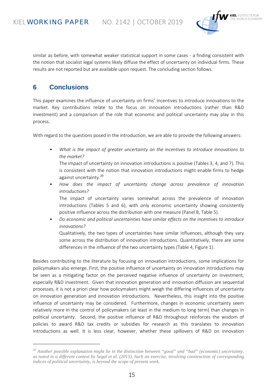

similar as before, with somewhat weaker statistical support in some cases - a finding consistent with the notion that socialist legal systems likely diffuse the effect of uncertainty on individual firms. These results are not reported but are available upon request. The concluding section follows.

### **6 Conclusions**

-

This paper examines the influence of uncertainty on firms' incentives to introduce innovations to the market. Key contributions relate to the focus on innovation introductions (rather than R&D investment) and a comparison of the role that economic and political uncertainty may play in this process.

With regard to the questions posed in the introduction, we are able to provide the following answers:

• *What is the impact of greater uncertainty on the incentives to introduce innovations to the market?*

The impact of uncertainty on innovation introductions is positive (Tables 3, 4, and 7). This is consistent with the notion that innovation introductions might enable firms to hedge against uncertainty.<sup>[20](#page-14-0)</sup>

• *How does the impact of uncertainty change across prevalence of innovation introductions?*

The impact of uncertainty varies somewhat across the prevalence of innovation introductions (Tables 5 and 6), with only economic uncertainty showing consistently positive influence across the distribution with one measure (Panel B, Table 5).

• *Do economic and political uncertainties have similar effects on the incentives to introduce innovations?* Qualitatively, the two types of uncertainties have similar influences, although they vary

some across the distribution of innovation introductions. Quantitatively, there are some differences in the influence of the two uncertainty types (Table 4, Figure 1).

Besides contributing to the literature by focusing on innovation introductions, some implications for policymakers also emerge. First, the positive influence of uncertainty on innovation introductions may be seen as a mitigating factor on the perceived negative influence of uncertainty on investment, especially R&D investment. Given that innovation generation and innovation diffusion are sequential processes, it is not a priori clear how policymakers might weigh the differing influences of uncertainty on innovation generation and innovation introductions. Nevertheless, this insight into the positive influence of uncertainty may be considered. Furthermore, changes in economic uncertainty seem relatively more in the control of policymakers (at least in the medium to long term) than changes in political uncertainty. Second, the positive influence of R&D throughout reinforces the wisdom of policies to award R&D tax credits or subsidies for research as this translates to innovation introductions as well. It is less clear, however, whether these spillovers of R&D on innovation

<span id="page-14-0"></span>*<sup>20</sup> Another possible explanation might lie in the distinction between "good" and "bad" (economic) uncertainty, as noted in a different context by Segal et al. (2015). Such an exercise, involving construction of corresponding indices of political uncertainty, is beyond the scope of present work.*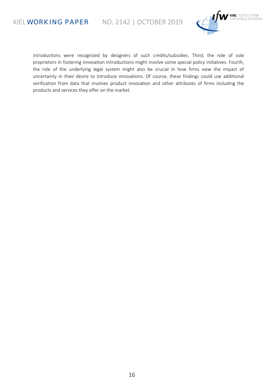KIEL **WORKING PAPER** NO. 2142 | OCTOBER 2019



introductions were recognized by designers of such credits/subsidies. Third, the role of sole proprietors in fostering innovation introductions might involve some special policy initiatives. Fourth, the role of the underlying legal system might also be crucial in how firms view the impact of uncertainty in their desire to introduce innovations. Of course, these findings could use additional verification from data that involves product innovation and other attributes of firms including the products and services they offer on the market.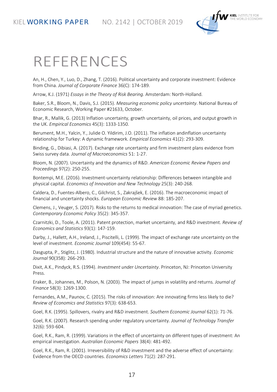

## REFERENCES

An, H., Chen, Y., Luo, D., Zhang, T. (2016). Political uncertainty and corporate investment: Evidence from China. *Journal of Corporate Finance* 36(C): 174-189.

Arrow, K.J. (1971) *Essays in the Theory of Risk Bearing*. Amsterdam: North-Holland.

Baker, S.R., Bloom, N., Davis, S.J. (2015). *Measuring economic policy uncertainty*. National Bureau of Economic Research, Working Paper #21633, October.

Bhar, R., Mallik, G. (2013) Inflation uncertainty, growth uncertainty, oil prices, and output growth in the UK. *Empirical Economics* 45(3): 1333-1350.

Berument, M.H., Yalcin, Y., Julide O. Yildirim, J.O. (2011). The inflation andinflation uncertainty relationship for Turkey: A dynamic framework. *Empirical Economics* 41(2): 293-309.

Binding, G., Dibiasi, A. (2017). Exchange rate uncertainty and firm investment plans evidence from Swiss survey data. *Journal of Macroeconomics* 51: 1-27.

Bloom, N. (2007). Uncertainty and the dynamics of R&D. *American Economic Review Papers and Proceedings* 97(2): 250-255.

Bontempi, M.E. (2016). Investment-uncertainty relationship: Differences between intangible and physical capital. *Economics of Innovation and New Technology* 25(3): 240-268.

Caldera, D., Fuentes-Albero, C., Gilchrist, S., Zakrajšek, E. (2016). The macroeconomic impact of financial and uncertainty shocks. *European Economic Review* 88: 185-207.

Clemens, J., Veuger, S. (2017). Risks to the returns to medical innovation: The case of myriad genetics. *Contemporary Economic Policy* 35(2): 345-357.

Czarnitzki, D., Toole, A. (2011). Patent protection, market uncertainty, and R&D investment. *Review of Economics and Statistics* 93(1): 147-159.

Darby, J., Hallett, A.H., Ireland, J., Piscitelli, L. (1999). The impact of exchange rate uncertainty on the level of investment. *Economic Journal* 109(454): 55-67.

Dasgupta, P., Stiglitz, J. (1980). Industrial structure and the nature of innovative activity. *Economic Journal* 90(358): 266-293.

Dixit, A.K., Pindyck, R.S. (1994). *Investment under Uncertainty*. Princeton, NJ: Princeton University Press.

Eraker, B., Johannes, M., Polson, N. (2003). The impact of jumps in volatility and returns*. Journal of Finance* 58(3): 1269-1300.

Fernandes, A.M., Paunov, C. (2015). The risks of innovation: Are innovating firms less likely to die? *Review of Economics and Statistics* 97(3): 638-653.

Goel, R.K. (1995). Spillovers, rivalry and R&D investment. *Southern Economic Journal* 62(1): 71-76.

Goel, R.K. (2007). Research spending under regulatory uncertainty. *Journal of Technology Transfer* 32(6): 593-604.

Goel, R.K., Ram, R. (1999). Variations in the effect of uncertainty on different types of investment: An empirical investigation. *Australian Economic Papers* 38(4): 481-492.

Goel, R.K., Ram, R. (2001). Irreversibility of R&D investment and the adverse effect of uncertainty: Evidence from the OECD countries. *Economics Letters* 71(2): 287-291.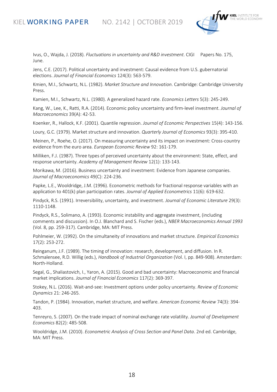

Ivus, O., Wajda, J. (2018). *Fluctuations in uncertainty and R&D investment*. CIGI Papers No. 175, June.

Jens, C.E. (2017). Political uncertainty and investment: Causal evidence from U.S. gubernatorial elections. *Journal of Financial Economics* 124(3): 563-579.

Kmien, M.I., Schwartz, N.L. (1982). *Market Structure and Innovation*. Cambridge: Cambridge University Press.

Kamien, M.I., Schwartz, N.L. (1980). A generalized hazard rate. *Economics Letters* 5(3): 245-249.

Kang, W., Lee, K., Ratti, R.A. (2014). Economic policy uncertainty and firm-level investment. *Journal of Macroeconomics* 39(A): 42-53.

Koenker, R., Hallock, K.F. (2001). Quantile regression. *Journal of Economic Perspectives* 15(4): 143-156.

Loury, G.C. (1979). Market structure and innovation. *Quarterly Journal of Economics* 93(3): 395-410.

Meinen, P., Roehe, O. (2017). On measuring uncertainty and its impact on investment: Cross-country evidence from the euro area. *European Economic Review* 92: 161-179.

Milliken, F.J. (1987). Three types of perceived uncertainty about the environment: State, effect, and response uncertainty. *Academy of Management Review* 12(1): 133-143.

Morikawa, M. (2016). Business uncertainty and investment: Evidence from Japanese companies. *Journal of Macroeconomics* 49(C): 224-236.

Papke, L.E., Wooldridge, J.M. (1996). Econometric methods for fractional response variables with an application to 401(k) plan participation rates. *Journal of Applied Econometrics* 11(6): 619-632.

Pindyck, R.S. (1991). Irreversibility, uncertainty, and investment. *Journal of Economic Literature* 29(3): 1110-1148.

Pindyck, R.S., Solimano, A. (1993). Economic instability and aggregate investment, (including comments and discussion). In O.J. Blanchard and S. Fischer (eds.), *NBER Macroeconomics Annual 1993* (Vol. 8, pp. 259-317). Cambridge, MA: MIT Press.

Pohlmeier, W. (1992). On the simultaneity of innovations and market structure. *Empirical Economics* 17(2): 253-272.

Reinganum, J.F. (1989). The timing of innovation: research, development, and diffusion. In R. Schmalensee, R.D. Willig (eds.), *Handbook of Industrial Organization* (Vol. I, pp. 849-908). Amsterdam: North-Holland.

Segal, G., Shaliastovich, I., Yaron, A. (2015). Good and bad uncertainty: Macroeconomic and financial market implications. *Journal of Financial Economics* 117(2): 369-397.

Stokey, N.L. (2016). Wait-and-see: Investment options under policy uncertainty. *Review of Economic Dynamics* 21: 246-265.

Tandon, P. (1984). Innovation, market structure, and welfare. *American Economic Review* 74(3): 394- 403.

Tenreyro, S. (2007). On the trade impact of nominal exchange rate volatility. *Journal of Development Economics* 82(2): 485-508.

Wooldridge, J.M. (2010). *Econometric Analysis of Cross Section and Panel Data*. 2nd ed. Cambridge, MA: MIT Press.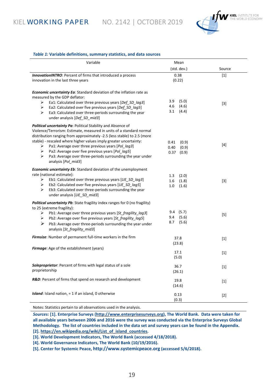KIEL **WORKING PAPER** NO. 2142 | OCTOBER 2019



#### *Table 1:* **Variable definitions, summary statistics, and data sources**

| Variable                                                                                                                                                                                                                                                                                                                                                                                                                                                                                          | Mean                                            |        |
|---------------------------------------------------------------------------------------------------------------------------------------------------------------------------------------------------------------------------------------------------------------------------------------------------------------------------------------------------------------------------------------------------------------------------------------------------------------------------------------------------|-------------------------------------------------|--------|
|                                                                                                                                                                                                                                                                                                                                                                                                                                                                                                   | (std. dev.)                                     | Source |
| <b>InnovationINTRO:</b> Percent of firms that introduced a process<br>innovation in the last three years                                                                                                                                                                                                                                                                                                                                                                                          | 0.38<br>(0.22)                                  | $[1]$  |
| <b>Economic uncertainty Ea:</b> Standard deviation of the inflation rate as<br>measured by the GDP deflator:<br>Ea1: Calculated over three previous years [Def_SD_lag3]<br>➤<br>Ea2: Calculated over five previous years [Def_SD_lag5]<br>➤<br>Ea3: Calculated over three-periods surrounding the year<br>➤<br>under analysis [Def_SD_mid3]                                                                                                                                                       | 3.9<br>(5.0)<br>(4.6)<br>4.6<br>3.1<br>(4.4)    | $[3]$  |
| Political uncertainty Pa: Political Stability and Absence of<br>Violence/Terrorism: Estimate, measured in units of a standard normal<br>distribution ranging from approximately -2.5 (less stable) to 2.5 (more<br>stable) - rescaled where higher values imply greater uncertainty:<br>Pa1: Average over three previous years [Pol_lag3]<br>➤<br>Pa2: Average over five previous years [Pol_lag5]<br>➤<br>Pa3: Average over three-periods surrounding the year under<br>➤<br>analysis [Pol_mid3] | 0.41<br>(0.9)<br>0.40<br>(0.9)<br>0.37<br>(0.9) | $[4]$  |
| <b>Economic uncertainty Eb:</b> Standard deviation of the unemployment<br>rate (national estimate):<br>Eb1: Calculated over three previous years [UE SD lag3]<br>➤<br>Eb2: Calculated over five previous years [UE SD lag5]<br>➤<br>Eb3: Calculated over three-periods surrounding the year<br>➤<br>under analysis [UE_SD_mid3]                                                                                                                                                                   | 1.3<br>(2.0)<br>(1.8)<br>1.6<br>1.0<br>(1.6)    | $[3]$  |
| Political uncertainty Pb: State fragility index ranges for 0 (no fragility)<br>to 25 (extreme fragility):<br>Pb1: Average over three previous years [St_fragility_lag3]<br>➤<br>Pb2: Average over five previous years [St_fragility_lag5]<br>➤<br>➤<br>Pb3: Average over three-periods surrounding the year under<br>analysis [St fragility mid3]                                                                                                                                                 | $9.4$ (5.7)<br>(5.6)<br>9.4<br>8.7<br>(5.6)     | $[5]$  |
| Firmsize: Number of permanent full-time workers in the firm                                                                                                                                                                                                                                                                                                                                                                                                                                       | 37.8<br>(23.8)                                  | $[1]$  |
| Firmage: Age of the establishment (years)                                                                                                                                                                                                                                                                                                                                                                                                                                                         | 17.1<br>(5.0)                                   | $[1]$  |
| Soleproprietor: Percent of firms with legal status of a sole<br>proprietorship                                                                                                                                                                                                                                                                                                                                                                                                                    | 36.7<br>(26.1)                                  |        |
| R&D: Percent of firms that spend on research and development                                                                                                                                                                                                                                                                                                                                                                                                                                      | 19.8<br>(14.6)                                  | $[1]$  |
| Island: Island nation, = 1 if an island, 0 otherwise                                                                                                                                                                                                                                                                                                                                                                                                                                              | 0.13<br>(0.3)                                   | $[2]$  |

Notes: Statistics pertain to all observations used in the analysis.

*Sources:* **[1]. Enterprise Surveys [\(http://www.enterprisesurveys.org\)](http://www.enterprisesurveys.org/), The World Bank. Data were taken for all available years between 2006 and 2016 were the survey was conducted via the Enterprise Surveys Global Methodology. The list of countries included in the data set and survey years can be found in the Appendix. [2][. https://en.wikipedia.org/wiki/List\\_of\\_island\\_countries.](https://en.wikipedia.org/wiki/List_of_island_countries)**

**[3]. World Development Indicators, The World Bank (accessed 4/18/2018).**

**[4]. World Governance Indicators, The World Bank (10/19/2016).**

**[5]. Center for Systemic Peace, [http://www.systemicpeace.org](http://www.systemicpeace.org/) (accessed 5/6/2018).**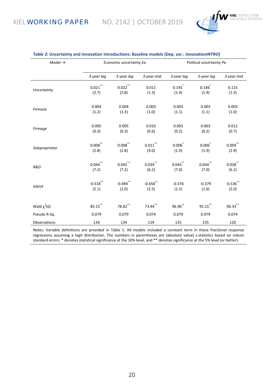

| Model $\rightarrow$ | Economic uncertainty Ea |              |              | Political uncertainty Pa |             |                       |
|---------------------|-------------------------|--------------|--------------|--------------------------|-------------|-----------------------|
|                     | 3-year lag              | 5-year lag   | 3-year mid   | 3-year lag               | 5-year lag  | 3-year mid            |
| Uncertainty         | $0.021$ **              | $0.022$ **   | 0.011        | 0.145                    | $0.146^{*}$ | 0.115                 |
|                     | (2.7)                   | (2.8)        | (1.3)        | (1.9)                    | (1.9)       | (1.5)                 |
| Firmsize            | 0.004                   | 0.004        | 0.003        | 0.003                    | 0.003       | 0.003                 |
|                     | (1.2)                   | (1.3)        | (1.0)        | (1.1)                    | (1.1)       | (1.0)                 |
| Firmage             | 0.005                   | 0.005        | 0.010        | 0.003                    | 0.003       | 0.012                 |
|                     | (0.3)                   | (0.3)        | (0.6)        | (0.2)                    | (0.2)       | (0.7)                 |
| Soleproprietor      | $0.008^{**}$            | $0.008^{**}$ | $0.011$ **   | $0.006^{*}$              | $0.006^{*}$ | $0.009$ **            |
|                     | (2.8)                   | (2.8)        | (4.0)        | (1.9)                    | (1.9)       | (2.9)                 |
| R&D                 | $0.044$ **              | $0.045$ **   | $0.039^{**}$ | $0.043$ **               | $0.044$ **  | $0.038^{^{\ast\ast}}$ |
|                     | (7.2)                   | (7.2)        | (6.2)        | (7.0)                    | (7.0)       | (6.1)                 |
| Island              | $-0.518$ **             | $-0.494$ **  | $-0.658$ **  | $-0.376$                 | $-0.379$    | $-0.536$ **           |
|                     | (2.1)                   | (2.0)        | (2.5)        | (1.5)                    | (1.6)       | (2.0)                 |
| Wald $\chi^2(6)$    | $85.15$ **              | $78.82$ **   | $73.44$ **   | $96.90^{**}$             | $95.15$ **  | $90.33$ **            |
| Pseudo R-Sq.        | 0.079                   | 0.079        | 0.074        | 0.079                    | 0.079       | 0.074                 |
| Observations        | 134                     | 134          | 119          | 135                      | 135         | 120                   |

#### *Table 2:* **Uncertainty and innovation introductions: Baseline models (Dep. var.:** *InnovationINTRO***)**

Notes: Variable definitions are provided in Table 1. All models included a constant term in these fractional response regressions assuming a logit distribution. The numbers in parentheses are (absolute value) z-statistics based on robust standard errors. \* denotes statistical significance at the 10% level, and \*\* denotes significance at the 5% level (or better).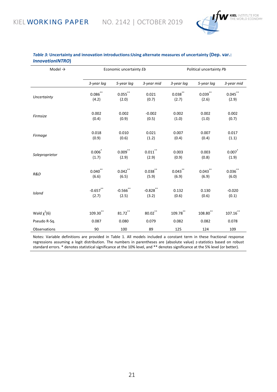

| Model $\rightarrow$ | Economic uncertainty Eb |              | Political uncertainty Pb |              |               |              |
|---------------------|-------------------------|--------------|--------------------------|--------------|---------------|--------------|
|                     | 3-year lag              | 5-year lag   | 3-year mid               | 3-year lag   | 5-year lag    | 3-year mid   |
| Uncertainty         | $0.086^{**}$            | $0.055^{**}$ | 0.021                    | $0.038^{**}$ | $0.039^{**}$  | $0.045$ **   |
|                     | (4.2)                   | (2.0)        | (0.7)                    | (2.7)        | (2.6)         | (2.9)        |
| Firmsize            | 0.002                   | 0.002        | $-0.002$                 | 0.002        | 0.002         | 0.002        |
|                     | (0.4)                   | (0.9)        | (0.5)                    | (1.0)        | (1.0)         | (0.7)        |
| Firmage             | 0.018                   | 0.010        | 0.021                    | 0.007        | 0.007         | 0.017        |
|                     | (0.9)                   | (0.6)        | (1.2)                    | (0.4)        | (0.4)         | (1.1)        |
| Soleproprietor      | 0.006                   | $0.009$ **   | $0.011***$               | 0.003        | 0.003         | 0.007        |
|                     | (1.7)                   | (2.9)        | (2.9)                    | (0.9)        | (0.8)         | (1.9)        |
| R&D                 | $0.040$ **              | $0.042$ **   | $0.038^{**}$             | $0.043***$   | $0.043$ **    | $0.036^{**}$ |
|                     | (6.6)                   | (6.5)        | (5.9)                    | (6.9)        | (6.9)         | (6.0)        |
| Island              | $-0.657$ **             | $-0.566$ **  | $-0.828$ **              | 0.132        | 0.130         | $-0.020$     |
|                     | (2.7)                   | (2.5)        | (3.2)                    | (0.6)        | (0.6)         | (0.1)        |
| Wald $\chi^2(6)$    | $109.30$ **             | 81.72**      | $80.02$ **               | 109.78**     | $108.80^{**}$ | $107.16$ **  |
| Pseudo R-Sq.        | 0.087                   | 0.080        | 0.079                    | 0.082        | 0.082         | 0.078        |
| Observations        | 90                      | 100          | 89                       | 125          | 124           | 109          |

#### *Table 3:* **Uncertainty and innovation introductions:Using alternate measures of uncertainty (Dep. var.:**  *InnovationINTRO***)**

Notes: Variable definitions are provided in Table 1. All models included a constant term in these fractional response regressions assuming a logit distribution. The numbers in parentheses are (absolute value) z-statistics based on robust standard errors. \* denotes statistical significance at the 10% level, and \*\* denotes significance at the 5% level (or better).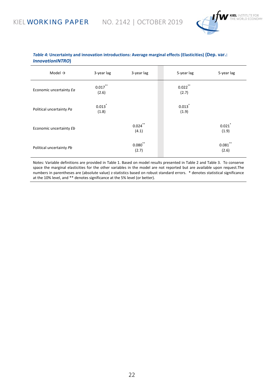

#### *Table 4:* **Uncertainty and innovation introductions: Average marginal effects (Elasticities) (Dep. var.:**  *InnovationINTRO***)**

| Model $\rightarrow$      | 3-year lag          | 3-year lag          | 5-year lag          | 5-year lag          |
|--------------------------|---------------------|---------------------|---------------------|---------------------|
| Economic uncertainty Ea  | $0.017$ **<br>(2.6) |                     | $0.022$ **<br>(2.7) |                     |
| Political uncertainty Pa | 0.013<br>(1.8)      |                     | 0.013<br>(1.9)      |                     |
| Economic uncertainty Eb  |                     | $0.024$ **<br>(4.1) |                     | 0.021<br>(1.9)      |
| Political uncertainty Pb |                     | $0.080$ **<br>(2.7) |                     | $0.081$ **<br>(2.6) |

Notes: Variable definitions are provided in Table 1. Based on model results presented in Table 2 and Table 3. To conserve space the marginal elasticities for the other variables in the model are not reported but are available upon request.The numbers in parentheses are (absolute value) z-statistics based on robust standard errors. \* denotes statistical significance at the 10% level, and \*\* denotes significance at the 5% level (or better).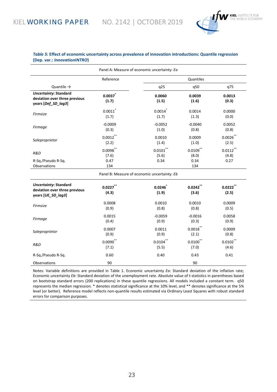

#### *Table 5:* **Effect of economic uncertainty across prevalence of innovation introductions: Quantile regression (Dep. var.:** *InnovationINTRO***)**

| Panel A: Measure of economic uncertainty: Ea                                         |                                     |                                              |                                     |                              |  |  |
|--------------------------------------------------------------------------------------|-------------------------------------|----------------------------------------------|-------------------------------------|------------------------------|--|--|
|                                                                                      | Reference                           |                                              |                                     |                              |  |  |
| Quantile $\rightarrow$                                                               |                                     | q25                                          | q50                                 | q75                          |  |  |
| <b>Uncertainty: Standard</b><br>deviation over three previous<br>years [Def_SD_lag3] | 0.0037<br>(1.7)                     | 0.0060<br>(1.5)                              | 0.0039<br>(1.6)                     | 0.0013<br>(0.3)              |  |  |
| Firmsize                                                                             | 0.0011<br>(1.7)                     | 0.0014<br>(1.7)                              | 0.0014<br>(1.3)                     | 0.0000<br>(0.0)              |  |  |
| Firmage                                                                              | $-0.0009$<br>(0.3)                  | $-0.0052$<br>(1.0)                           | $-0.0040$<br>(0.8)                  | 0.0052<br>(0.8)              |  |  |
| Soleproprietor                                                                       | $0.0012$ **<br>(2.2)                | 0.0010<br>(1.4)                              | 0.0009<br>(1.0)                     | $0.0026$ **<br>(2.5)         |  |  |
| R&D<br>R-Sq./Pseudo R-Sq.<br>Observations                                            | $0.0098$ **<br>(7.6)<br>0.47<br>134 | $0.0101$ **<br>(5.6)<br>0.34                 | $0.0109$ **<br>(8.0)<br>0.34<br>134 | $0.0112$ **<br>(4.8)<br>0.27 |  |  |
|                                                                                      |                                     | Panel B: Measure of economic uncertainty: Eb |                                     |                              |  |  |
| <b>Uncertainty: Standard</b><br>deviation over three previous<br>years [UE_SD_lag3]  | $0.0227$ **<br>(4.3)                | 0.0246<br>(1.9)                              | 0.0242<br>(3.6)                     | 0.0222<br>(2.5)              |  |  |
| Firmsize                                                                             | 0.0008<br>(0.9)                     | 0.0010<br>(0.8)                              | 0.0010<br>(0.8)                     | 0.0009<br>(0.5)              |  |  |
| Firmage                                                                              | 0.0015<br>(0.4)                     | $-0.0059$<br>(0.9)                           | $-0.0016$<br>(0.3)                  | 0.0058<br>(0.9)              |  |  |
| Soleproprietor                                                                       | 0.0007<br>(0.9)                     | 0.0011<br>(0.9)                              | $0.0018$ **<br>(2.1)                | 0.0009<br>(0.8)              |  |  |
| R&D                                                                                  | $0.0090$ **<br>(7.1)                | $0.0104$ **<br>(5.5)                         | $0.0100$ **<br>(7.0)                | $0.0102$ **<br>(4.6)         |  |  |
| R-Sq./Pseudo R-Sq.                                                                   | 0.60                                | 0.40                                         | 0.43                                | 0.41                         |  |  |
| Observations                                                                         | 90                                  |                                              | 90                                  |                              |  |  |

Notes: Variable definitions are provided in Table 1. Economic uncertainty *Ea*: Standard deviation of the inflation rate; Economic uncertainty *Eb*: Standard deviation of the unemployment rate. Absolute value of t-statistics in parentheses based on bootstrap standard errors (200 replications) in these quantile regressions. All models included a constant term. q50 represents the median regression. \* denotes statistical significance at the 10% level, and \*\* denotes significance at the 5% level (or better). Reference model reflects non-quantile results estimated via Ordinary Least Squares with robust standard errors for comparison purposes.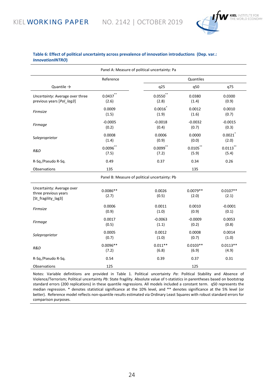

#### **Table 6: Effect of political uncertainty across prevalence of innovation introductions (Dep. var.:**  *InnovationINTRO***)**

| Panel A: Measure of political uncertainty: Pa                            |                     |                                               |                     |                     |  |
|--------------------------------------------------------------------------|---------------------|-----------------------------------------------|---------------------|---------------------|--|
|                                                                          | Reference           |                                               | Quantiles           |                     |  |
| Quantile $\rightarrow$                                                   |                     | q25                                           | q50                 | q75                 |  |
| Uncertainty: Average over three                                          | 0.0437              | $0.0550$ **                                   | 0.0380              | 0.0300              |  |
| previous years [Pol lag3]                                                | (2.6)               | (2.8)                                         | (1.4)               | (0.9)               |  |
| Firmsize                                                                 | 0.0009              | $0.0016^{*}$                                  | 0.0012              | 0.0010              |  |
|                                                                          | (1.5)               | (1.9)                                         | (1.6)               | (0.7)               |  |
| Firmage                                                                  | $-0.0005$           | $-0.0018$                                     | $-0.0032$           | $-0.0015$           |  |
|                                                                          | (0.2)               | (0.4)                                         | (0.7)               | (0.3)               |  |
| Soleproprietor                                                           | 0.0008              | 0.0006                                        | 0.0000              | 0.0021              |  |
|                                                                          | (1.4)               | (0.9)                                         | (0.0)               | (2.0)               |  |
| R&D                                                                      | $0.0096$ **         | $0.0099$ **                                   | $0.0105$ **         | $0.0113$ **         |  |
|                                                                          | (7.5)               | (7.2)                                         | (5.9)               | (5.4)               |  |
| R-Sq./Pseudo R-Sq.                                                       | 0.49                | 0.37                                          | 0.34                | 0.26                |  |
| Observations                                                             | 135                 |                                               | 135                 |                     |  |
|                                                                          |                     | Panel B: Measure of political uncertainty: Pb |                     |                     |  |
| Uncertainty: Average over<br>three previous years<br>[St_fragility_lag3] | $0.0086**$<br>(2.7) | 0.0026<br>(0.5)                               | $0.0079**$<br>(2.0) | $0.0107**$<br>(2.1) |  |
| Firmsize                                                                 | 0.0006              | 0.0011                                        | 0.0010              | $-0.0001$           |  |
|                                                                          | (0.9)               | (1.0)                                         | (0.9)               | (0.1)               |  |
| Firmage                                                                  | 0.0017              | $-0.0063$                                     | $-0.0009$           | 0.0053              |  |
|                                                                          | (0.5)               | (1.1)                                         | (0.2)               | (0.8)               |  |
| Soleproprietor                                                           | 0.0005              | 0.0012                                        | 0.0008              | 0.0014              |  |
|                                                                          | (0.7)               | (1.0)                                         | (0.7)               | (1.0)               |  |
| R&D                                                                      | $0.0096**$          | $0.011**$                                     | $0.0103**$          | $0.0113**$          |  |
|                                                                          | (7.2)               | (6.8)                                         | (6.9)               | (4.9)               |  |
| R-Sq./Pseudo R-Sq.                                                       | 0.54                | 0.39                                          | 0.37                | 0.31                |  |
| Observations                                                             | 125                 |                                               | 125                 |                     |  |

Notes: Variable definitions are provided in Table 1. Political uncertainty *Pa*: Political Stability and Absence of Violence/Terrorism; Political uncertainty *Pb*: State fragility. Absolute value of t-statistics in parentheses based on bootstrap standard errors (200 replications) in these quantile regressions. All models included a constant term. q50 represents the median regression. \* denotes statistical significance at the 10% level, and \*\* denotes significance at the 5% level (or better). Reference model reflects non-quantile results estimated via Ordinary Least Squares with robust standard errors for comparison purposes.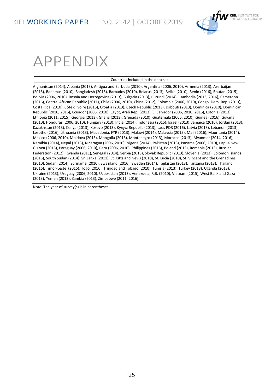

## APPENDIX

#### Countries included in the data set

Afghanistan (2014), Albania (2013), Antigua and Barbuda (2010), Argentina (2006, 2010), Armenia (2013), Azerbaijan (2013), Bahamas (2010), Bangladesh (2013), Barbados (2010), Belarus (2013), Belize (2010), Benin (2016), Bhutan (2015), Bolivia (2006, 2010), Bosnia and Herzegovina (2013), Bulgaria (2013), Burundi (2014), Cambodia (2013, 2016), Cameroon (2016), Central African Republic (2011), Chile (2006, 2010), China (2012), Colombia (2006, 2010), Congo, Dem. Rep. (2013), Costa Rica (2010), Côte d'Ivoire (2016), Croatia (2013), Czech Republic (2013), Djibouti (2013), Dominica (2010), Dominican Republic (2010, 2016), Ecuador (2006, 2010), Egypt, Arab Rep. (2013), El Salvador (2006, 2010, 2016), Estonia (2013), Ethiopia (2011, 2015), Georgia (2013), Ghana (2013), Grenada (2010), Guatemala (2006, 2010), Guinea (2016), Guyana (2010), Honduras (2006, 2010), Hungary (2013), India (2014), Indonesia (2015), Israel (2013), Jamaica (2010), Jordan (2013), Kazakhstan (2013), Kenya (2013), Kosovo (2013), Kyrgyz Republic (2013), Laos PDR (2016), Latvia (2013), Lebanon (2013), Lesotho (2016), Lithuania (2013), Macedonia, FYR (2013), Malawi (2014), Malaysia (2015), Mali (2016), Mauritania (2014), Mexico (2006, 2010), Moldova (2013), Mongolia (2013), Montenegro (2013), Morocco (2013), Myanmar (2014, 2016), Namibia (2014), Nepal (2013), Nicaragua (2006, 2010), Nigeria (2014), Pakistan (2013), Panama (2006, 2010), Papua New Guinea (2015), Paraguay (2006, 2010), Peru (2006, 2010), Philippines (2015), Poland (2013), Romania (2013), Russian Federation (2012), Rwanda (2011), Senegal (2014), Serbia (2013), Slovak Republic (2013), Slovenia (2013), Solomon Islands (2015), South Sudan (2014), Sri Lanka (2011), St. Kitts and Nevis (2010), St. Lucia (2010), St. Vincent and the Grenadines (2010), Sudan (2014), Suriname (2010), Swaziland (2016), Sweden (2014), Tajikistan (2013), Tanzania (2013), Thailand (2016), Timor-Leste (2015), Togo (2016), Trinidad and Tobago (2010), Tunisia (2013), Turkey (2013), Uganda (2013), Ukraine (2013), Uruguay (2006, 2010), Uzbekistan (2013), Venezuela, R.B. (2010), Vietnam (2015), West Bank and Gaza (2013), Yemen (2013), Zambia (2013), Zimbabwe (2011, 2016).

Note: The year of survey(s) is in parentheses.